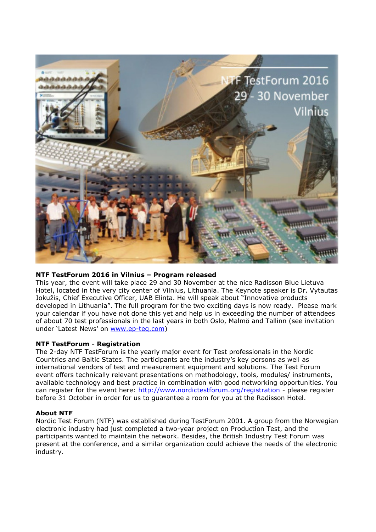

## **NTF TestForum 2016 in Vilnius – Program released**

This year, the event will take place 29 and 30 November at the nice Radisson Blue Lietuva Hotel, located in the very city center of Vilnius, Lithuania. The Keynote speaker is Dr. Vytautas Jokužis, Chief Executive Officer, UAB Elinta. He will speak about "Innovative products developed in Lithuania". The full program for the two exciting days is now ready. Please mark your calendar if you have not done this yet and help us in exceeding the number of attendees of about 70 test professionals in the last years in both Oslo, Malmö and Tallinn (see invitation under 'Latest News' on [www.ep-teq.com\)](http://www.ep-teq.com/)

## **NTF TestForum - Registration**

The 2-day NTF TestForum is the yearly major event for Test professionals in the Nordic Countries and Baltic States. The participants are the industry's key persons as well as international vendors of test and measurement equipment and solutions. The Test Forum event offers technically relevant presentations on methodology, tools, modules/ instruments, available technology and best practice in combination with good networking opportunities. You can register for the event here:<http://www.nordictestforum.org/registration>- please register before 31 October in order for us to guarantee a room for you at the Radisson Hotel.

## **About NTF**

Nordic Test Forum (NTF) was established during TestForum 2001. A group from the Norwegian electronic industry had just completed a two-year project on Production Test, and the participants wanted to maintain the network. Besides, the British Industry Test Forum was present at the conference, and a similar organization could achieve the needs of the electronic industry.